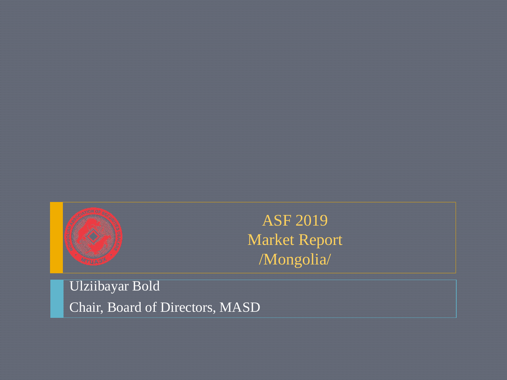

ASF 2019 Market Report /Mongolia/

Ulziibayar Bold Chair, Board of Directors, MASD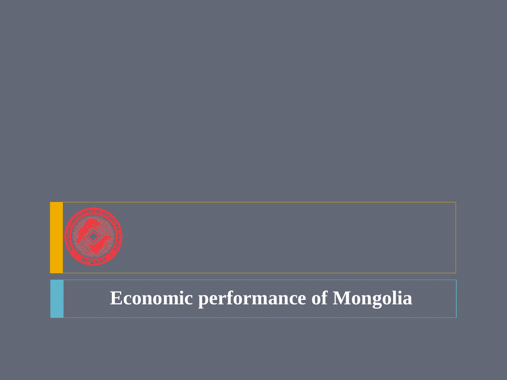

# **Economic performance of Mongolia**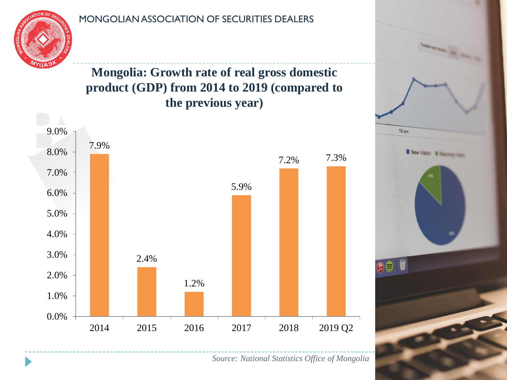

**Mongolia: Growth rate of real gross domestic product (GDP) from 2014 to 2019 (compared to the previous year)**



*Source: National Statistics Office of Mongolia*

19 avr.

New Visitor III Tunaning Issue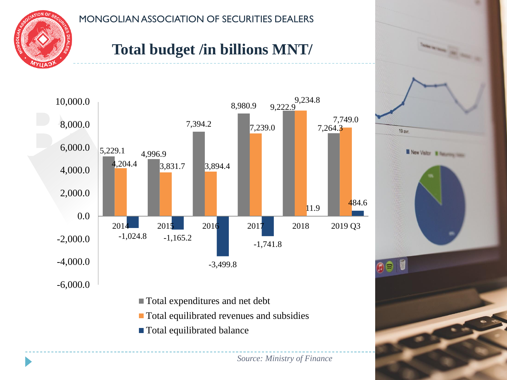

## **Total budget /in billions MNT/**



- Total equilibrated revenues and subsidies
- **Total equilibrated balance**

*Source: Ministry of Finance*

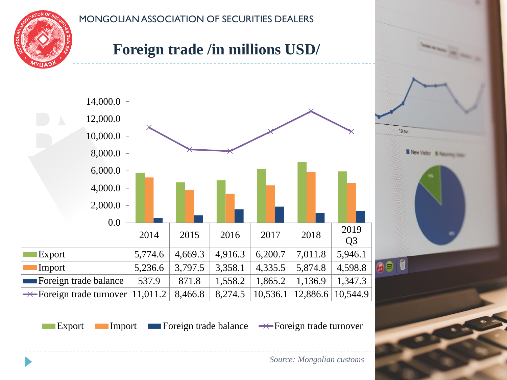

## **Foreign trade /in millions USD/**



Export Import Foreign trade balance  $\rightarrow$  Foreign trade turnover

*Source: Mongolian customs*

19 avr.

New Visitor III Summing them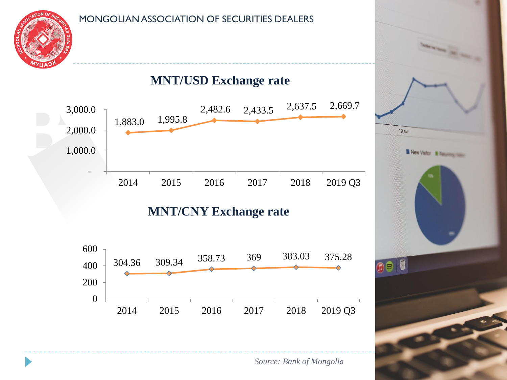

#### **MNT/USD Exchange rate**



**MNT/CNY Exchange rate**



19 avr. **New Visitor & Butterston, Inc. OB** 

*Source: Bank of Mongolia*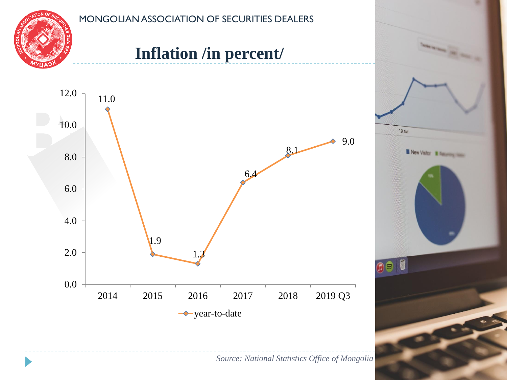

## **Inflation /in percent/**





*Source: National Statistics Office of Mongolia*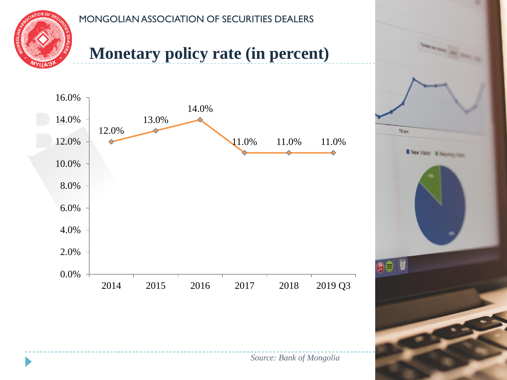

## **Monetary policy rate (in percent)**



*Source: Bank of Mongolia*

19 avr.

 $\bullet$ 

New Visitor III Summarison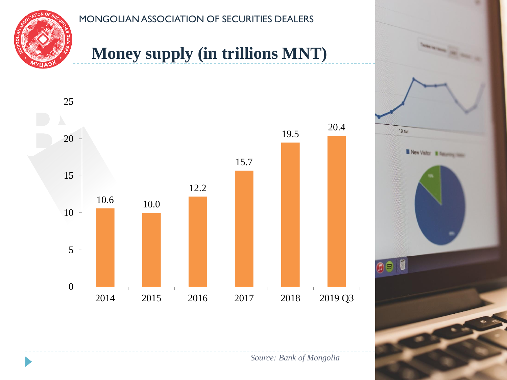

## **Money supply (in trillions MNT)**



*Source: Bank of Mongolia*

19 avr.

New Visitor III Summarison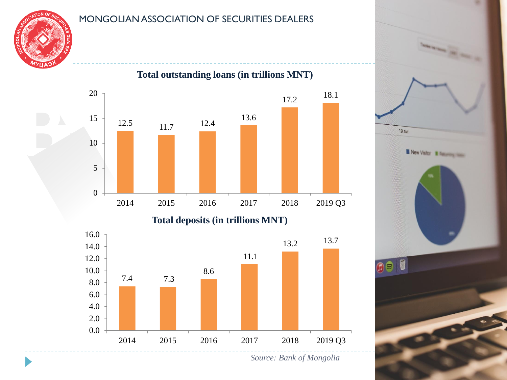



*Source: Bank of Mongolia*

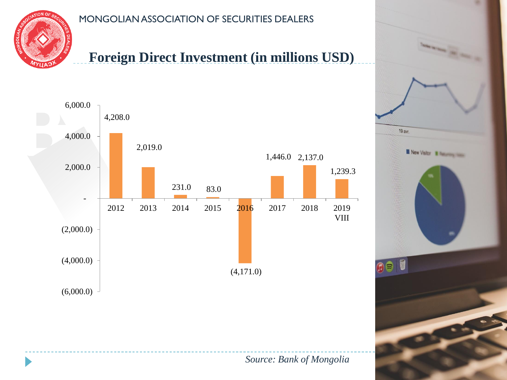

### **Foreign Direct Investment (in millions USD)**



19 avr.

New Visitor III Summing them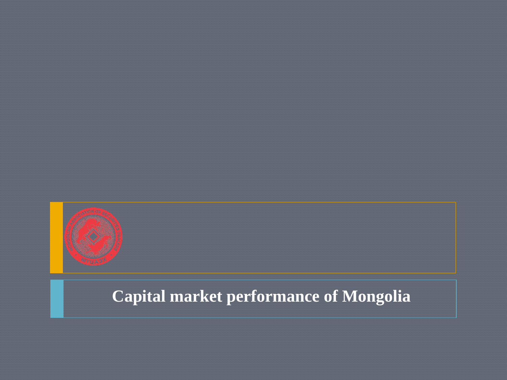

## **Capital market performance of Mongolia**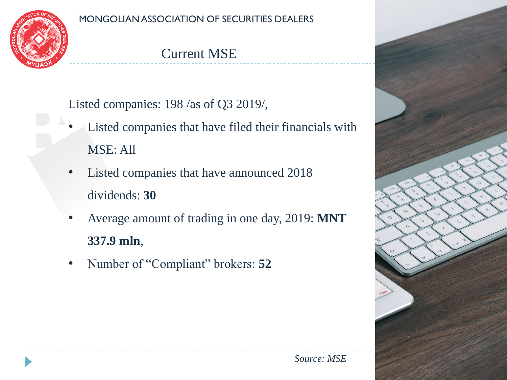

### Current MSE

Listed companies: 198 /as of Q3 2019/,

- Listed companies that have filed their financials with MSE: All
- Listed companies that have announced 2018 dividends: **30**
- Average amount of trading in one day, 2019: **MNT 337.9 mln**,
- Number of "Compliant" brokers: **52**

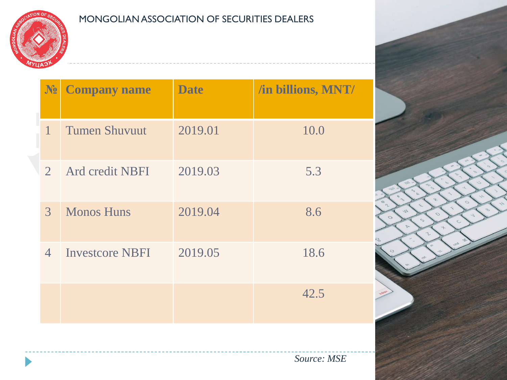

| $N_2$          | <b>Company name</b>    | <b>Date</b> | /in billions, MNT/ |
|----------------|------------------------|-------------|--------------------|
| $\mathbf{1}$   | <b>Tumen Shuvuut</b>   | 2019.01     | 10.0               |
| $\overline{2}$ | Ard credit NBFI        | 2019.03     | 5.3                |
| $\mathfrak{Z}$ | <b>Monos Huns</b>      | 2019.04     | 8.6                |
| $\overline{4}$ | <b>Investcore NBFI</b> | 2019.05     | 18.6               |
|                |                        |             | 42.5               |

*Source: MSE*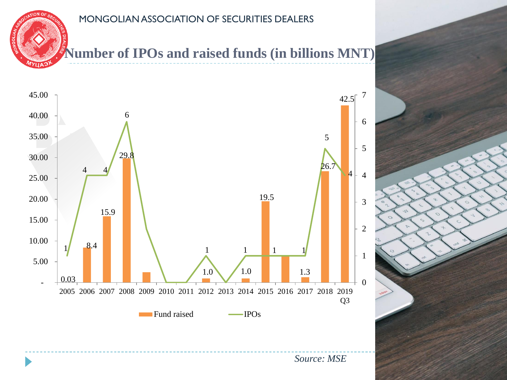**Number of IPOs and raised funds (in billions MNT)**

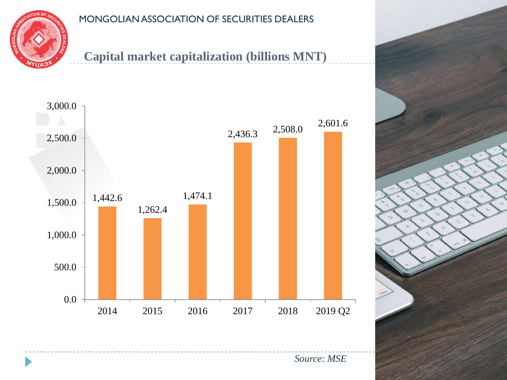

### **Capital market capitalization (billions MNT)**

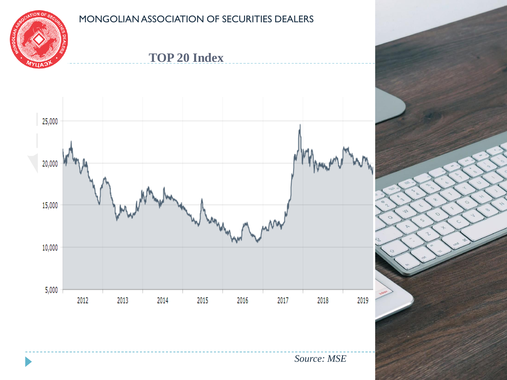

**TOP 20 Index**



*Source: MSE*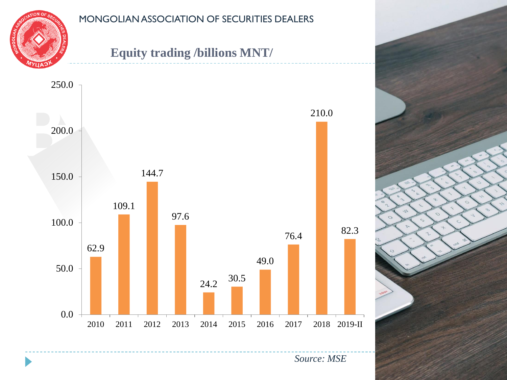

### **Equity trading /billions MNT/**

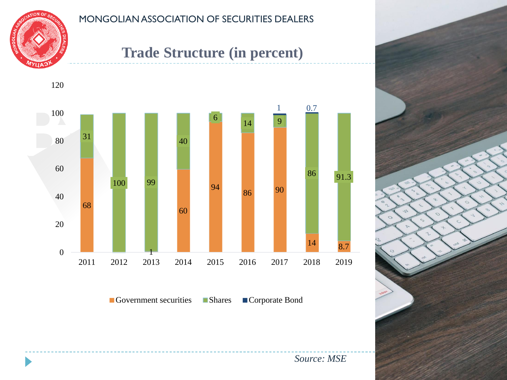

### **Trade Structure (in percent)**



*Source: MSE*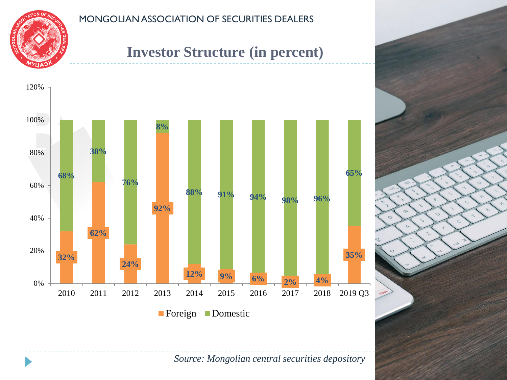

### **Investor Structure (in percent)**



*Source: Mongolian central securities depository*